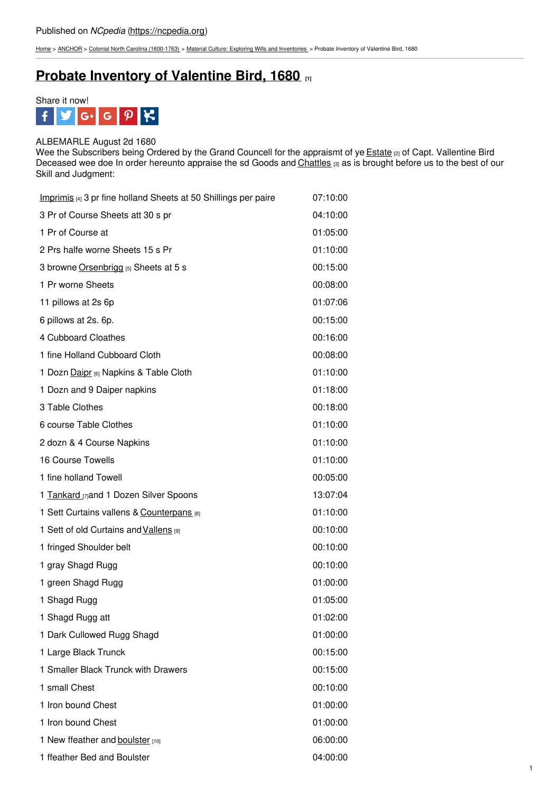[Home](https://ncpedia.org/) > [ANCHOR](https://ncpedia.org/anchor/anchor) > Colonial North Carolina [\(1600-1763\)](https://ncpedia.org/anchor/colonial-north-carolina-1600) > Material Culture: Exploring Wills and [Inventories](https://ncpedia.org/anchor/material-culture-exploring) > Probate Inventory of Valentine Bird, 1680

# **Probate [Inventory](https://ncpedia.org/anchor/probate-inventory-valentine) of Valentine Bird, 1680 [1]**



## ALBEMARLE August 2d 1680

Wee the Subscribers being Ordered by the Grand Councell for the appraismt of ye [Estate](https://ncpedia.org/glossary/estate) [2] of Capt. Vallentine Bird Deceased wee doe In order hereunto appraise the sd Goods and [Chattles](https://ncpedia.org/glossary/chattel) [3] as is brought before us to the best of our Skill and Judgment:

| Imprimis [4] 3 pr fine holland Sheets at 50 Shillings per paire | 07:10:00 |
|-----------------------------------------------------------------|----------|
| 3 Pr of Course Sheets att 30 s pr                               | 04:10:00 |
| 1 Pr of Course at                                               | 01:05:00 |
| 2 Prs halfe worne Sheets 15 s Pr                                | 01:10:00 |
| 3 browne Orsenbrigg [5] Sheets at 5 s                           | 00:15:00 |
| 1 Pr worne Sheets                                               | 00:08:00 |
| 11 pillows at 2s 6p                                             | 01:07:06 |
| 6 pillows at 2s. 6p.                                            | 00:15:00 |
| 4 Cubboard Cloathes                                             | 00:16:00 |
| 1 fine Holland Cubboard Cloth                                   | 00:08:00 |
| 1 Dozn Daipr [6] Napkins & Table Cloth                          | 01:10:00 |
| 1 Dozn and 9 Daiper napkins                                     | 01:18:00 |
| 3 Table Clothes                                                 | 00:18:00 |
| 6 course Table Clothes                                          | 01:10:00 |
| 2 dozn & 4 Course Napkins                                       | 01:10:00 |
| 16 Course Towells                                               | 01:10:00 |
| 1 fine holland Towell                                           | 00:05:00 |
| 1 Tankard [7] and 1 Dozen Silver Spoons                         | 13:07:04 |
| 1 Sett Curtains vallens & Counterpans [8]                       | 01:10:00 |
| 1 Sett of old Curtains and Vallens [9]                          | 00:10:00 |
| 1 fringed Shoulder belt                                         | 00:10:00 |
| 1 gray Shagd Rugg                                               | 00:10:00 |
| 1 green Shagd Rugg                                              | 01:00:00 |
| 1 Shagd Rugg                                                    | 01:05:00 |
| 1 Shagd Rugg att                                                | 01:02:00 |
| 1 Dark Cullowed Rugg Shagd                                      | 01:00:00 |
| 1 Large Black Trunck                                            | 00:15:00 |
| 1 Smaller Black Trunck with Drawers                             | 00:15:00 |
| 1 small Chest                                                   | 00:10:00 |
| 1 Iron bound Chest                                              | 01:00:00 |
| 1 Iron bound Chest                                              | 01:00:00 |
| 1 New ffeather and boulster [10]                                | 06:00:00 |
| 1 ffeather Bed and Boulster                                     | 04:00:00 |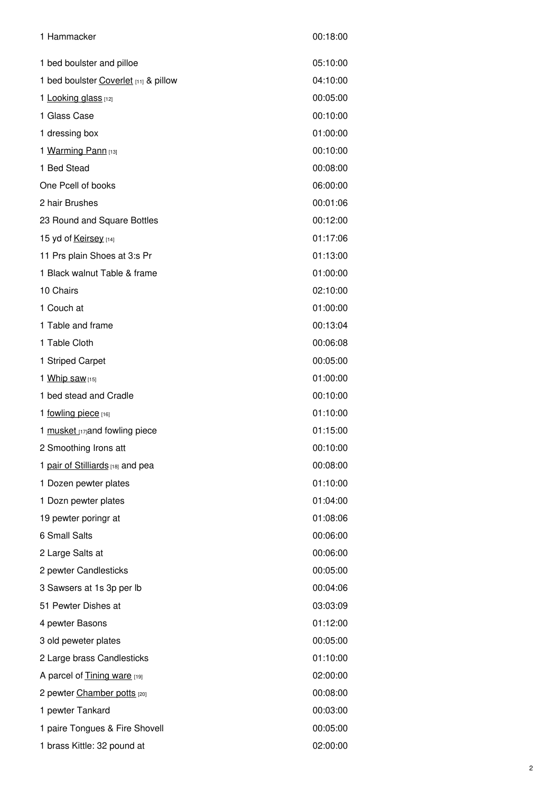| 1 Hammacker                           | 00:18:00 |
|---------------------------------------|----------|
| 1 bed boulster and pilloe             | 05:10:00 |
| 1 bed boulster Coverlet [11] & pillow | 04:10:00 |
| 1 Looking glass [12]                  | 00:05:00 |
| 1 Glass Case                          | 00:10:00 |
| 1 dressing box                        | 01:00:00 |
| 1 Warming Pann [13]                   | 00:10:00 |
| 1 Bed Stead                           | 00:08:00 |
| One Pcell of books                    | 06:00:00 |
| 2 hair Brushes                        | 00:01:06 |
| 23 Round and Square Bottles           | 00:12:00 |
| 15 yd of Keirsey [14]                 | 01:17:06 |
| 11 Prs plain Shoes at 3:s Pr          | 01:13:00 |
| 1 Black walnut Table & frame          | 01:00:00 |
| 10 Chairs                             | 02:10:00 |
| 1 Couch at                            | 01:00:00 |
| 1 Table and frame                     | 00:13:04 |
| 1 Table Cloth                         | 00:06:08 |
| 1 Striped Carpet                      | 00:05:00 |
| 1 Whip saw [15]                       | 01:00:00 |
| 1 bed stead and Cradle                | 00:10:00 |
| 1 fowling piece [16]                  | 01:10:00 |
| 1 musket [17] and fowling piece       | 01:15:00 |
| 2 Smoothing Irons att                 | 00:10:00 |
| 1 pair of Stilliards [18] and pea     | 00:08:00 |
| 1 Dozen pewter plates                 | 01:10:00 |
| 1 Dozn pewter plates                  | 01:04:00 |
| 19 pewter poringr at                  | 01:08:06 |
| 6 Small Salts                         | 00:06:00 |
| 2 Large Salts at                      | 00:06:00 |
| 2 pewter Candlesticks                 | 00:05:00 |
| 3 Sawsers at 1s 3p per lb             | 00:04:06 |
| 51 Pewter Dishes at                   | 03:03:09 |
| 4 pewter Basons                       | 01:12:00 |
| 3 old peweter plates                  | 00:05:00 |
| 2 Large brass Candlesticks            | 01:10:00 |
| A parcel of Tining ware [19]          | 02:00:00 |
| 2 pewter Chamber potts [20]           | 00:08:00 |
| 1 pewter Tankard                      | 00:03:00 |
| 1 paire Tongues & Fire Shovell        | 00:05:00 |
| 1 brass Kittle: 32 pound at           | 02:00:00 |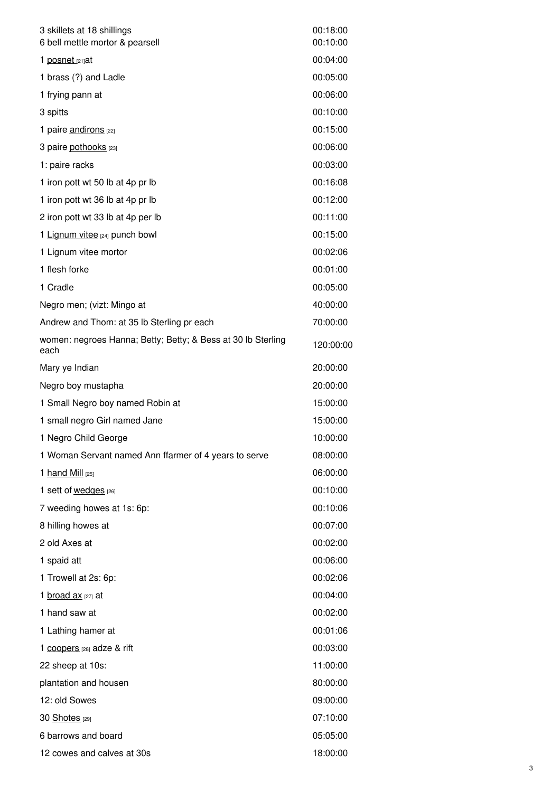| 3 skillets at 18 shillings<br>6 bell mettle mortor & pearsell        | 00:18:00<br>00:10:00 |
|----------------------------------------------------------------------|----------------------|
| 1 posnet [21]at                                                      | 00:04:00             |
| 1 brass (?) and Ladle                                                | 00:05:00             |
| 1 frying pann at                                                     | 00:06:00             |
| 3 spitts                                                             | 00:10:00             |
| 1 paire andirons [22]                                                | 00:15:00             |
| 3 paire pothooks [23]                                                | 00:06:00             |
| 1: paire racks                                                       | 00:03:00             |
| 1 iron pott wt 50 lb at 4p pr lb                                     | 00:16:08             |
| 1 iron pott wt 36 lb at 4p pr lb                                     | 00:12:00             |
| 2 iron pott wt 33 lb at 4p per lb                                    | 00:11:00             |
| 1 Lignum vitee [24] punch bowl                                       | 00:15:00             |
| 1 Lignum vitee mortor                                                | 00:02:06             |
| 1 flesh forke                                                        | 00:01:00             |
| 1 Cradle                                                             | 00:05:00             |
| Negro men; (vizt: Mingo at                                           | 40:00:00             |
| Andrew and Thom: at 35 lb Sterling pr each                           | 70:00:00             |
| women: negroes Hanna; Betty; Betty; & Bess at 30 lb Sterling<br>each | 120:00:00            |
| Mary ye Indian                                                       | 20:00:00             |
| Negro boy mustapha                                                   | 20:00:00             |
| 1 Small Negro boy named Robin at                                     | 15:00:00             |
| 1 small negro Girl named Jane                                        | 15:00:00             |
| 1 Negro Child George                                                 | 10:00:00             |
| 1 Woman Servant named Ann ffarmer of 4 years to serve                | 08:00:00             |
| 1 hand Mill [25]                                                     | 06:00:00             |
| 1 sett of wedges [26]                                                | 00:10:00             |
| 7 weeding howes at 1s: 6p:                                           | 00:10:06             |
| 8 hilling howes at                                                   | 00:07:00             |
| 2 old Axes at                                                        | 00:02:00             |
| 1 spaid att                                                          | 00:06:00             |
| 1 Trowell at 2s: 6p:                                                 | 00:02:06             |
| 1 broad ax [27] at                                                   | 00:04:00             |
| 1 hand saw at                                                        | 00:02:00             |
| 1 Lathing hamer at                                                   | 00:01:06             |
| 1 coopers [28] adze & rift                                           | 00:03:00             |
| 22 sheep at 10s:                                                     | 11:00:00             |
| plantation and housen                                                | 80:00:00             |
| 12: old Sowes                                                        | 09:00:00             |
| 30 Shotes [29]                                                       | 07:10:00             |
| 6 barrows and board                                                  | 05:05:00             |
| 12 cowes and calves at 30s                                           | 18:00:00             |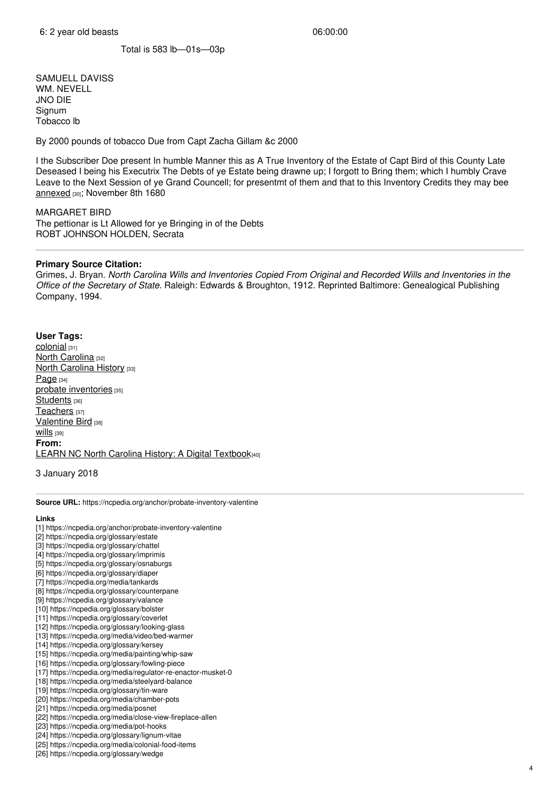Total is 583 lb—01s—03p

SAMUELL DAVISS WM. NEVELL JNO DIE Signum Tobacco lb

By 2000 pounds of tobacco Due from Capt Zacha Gillam &c 2000

I the Subscriber Doe present In humble Manner this as A True Inventory of the Estate of Capt Bird of this County Late Deseased I being his Executrix The Debts of ye Estate being drawne up; I forgott to Bring them; which I humbly Crave Leave to the Next Session of ye Grand Councell; for presentmt of them and that to this Inventory Credits they may bee [annexed](https://ncpedia.org/glossary/annex) [30]; November 8th 1680

MARGARET BIRD

The pettionar is Lt Allowed for ye Bringing in of the Debts ROBT JOHNSON HOLDEN, Secrata

### **Primary Source Citation:**

Grimes, J. Bryan. *North Carolina Wills and Inventories Copied From Original and Recorded Wills and Inventories in the Office of the Secretary of State.* Raleigh: Edwards & Broughton, 1912. Reprinted Baltimore: Genealogical Publishing Company, 1994.

#### **User Tags:**

[colonial](https://ncpedia.org/category/user-tags/colonial) [31] North [Carolina](https://ncpedia.org/category/user-tags/north-carolina-5) [32] **North [Carolina](https://ncpedia.org/category/user-tags/north-carolina-6) History [33]**  $Page$  [34] probate [inventories](https://ncpedia.org/category/user-tags/probate) [35] [Students](https://ncpedia.org/category/user-tags/students) [36] [Teachers](https://ncpedia.org/category/user-tags/teachers) [37] [Valentine](https://ncpedia.org/category/user-tags/valentine-bird) Bird [38] Wills [39] **From:** LEARN NC North Carolina History: A Digital [Textbook](https://ncpedia.org/category/entry-source/learn-nc)[40]

3 January 2018

**Source URL:** https://ncpedia.org/anchor/probate-inventory-valentine

#### **Links**

- [1] https://ncpedia.org/anchor/probate-inventory-valentine
- [2] https://ncpedia.org/glossary/estate
- [3] https://ncpedia.org/glossary/chattel
- [4] https://ncpedia.org/glossary/imprimis
- [5] https://ncpedia.org/glossary/osnaburgs
- [6] https://ncpedia.org/glossary/diaper
- [7] https://ncpedia.org/media/tankards
- [8] https://ncpedia.org/glossary/counterpane
- [9] https://ncpedia.org/glossary/valance
- [10] https://ncpedia.org/glossary/bolster
- [11] https://ncpedia.org/glossary/coverlet
- [12] https://ncpedia.org/glossary/looking-glass
- [13] https://ncpedia.org/media/video/bed-warmer
- [14] https://ncpedia.org/glossary/kersey
- [15] https://ncpedia.org/media/painting/whip-saw
- [16] https://ncpedia.org/glossary/fowling-piece
- [17] https://ncpedia.org/media/regulator-re-enactor-musket-0
- [18] https://ncpedia.org/media/steelyard-balance
- [19] https://ncpedia.org/glossary/tin-ware [20] https://ncpedia.org/media/chamber-pots
- [21] https://ncpedia.org/media/posnet
- 
- [22] https://ncpedia.org/media/close-view-fireplace-allen [23] https://ncpedia.org/media/pot-hooks
- [24] https://ncpedia.org/glossary/lignum-vitae
- [25] https://ncpedia.org/media/colonial-food-items
- [26] https://ncpedia.org/glossary/wedge